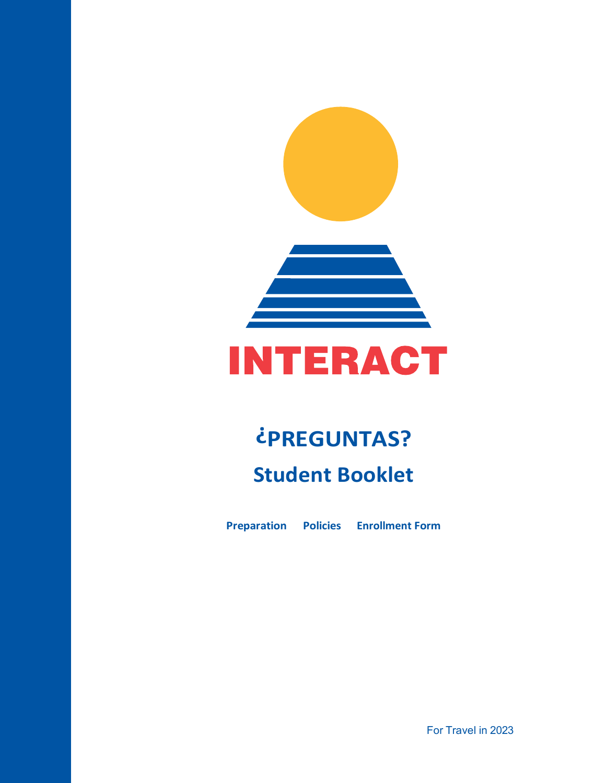



# **¿PREGUNTAS? Student Booklet**

**Preparation Policies Enrollment Form**

For Travel in 2023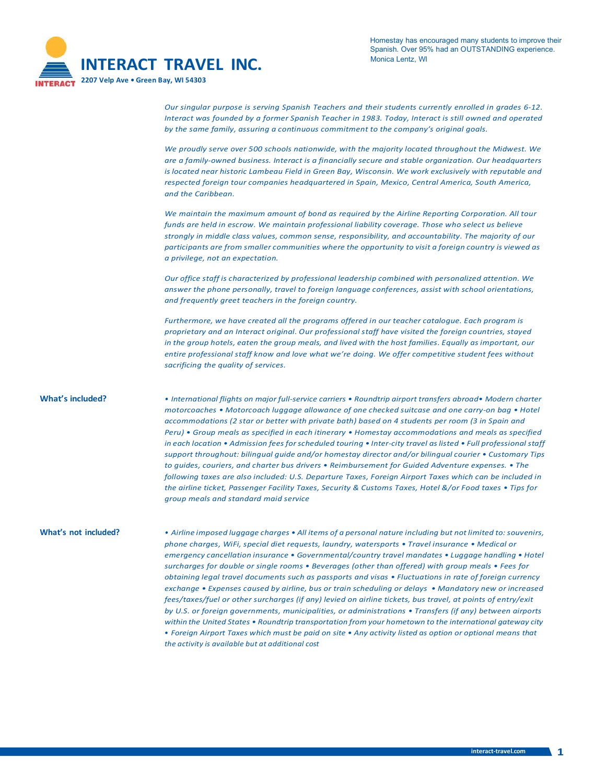

*Our singular purpose is serving Spanish Teachers and their students currently enrolled in grades 6-12. Interact was founded by a former Spanish Teacher in 1983. Today, Interact is still owned and operated by the same family, assuring a continuous commitment to the company's original goals.*

*We proudly serve over 500 schools nationwide, with the majority located throughout the Midwest. We are a family-owned business. Interact is a financially secure and stable organization. Our headquarters is located near historic Lambeau Field in Green Bay, Wisconsin. We work exclusively with reputable and respected foreign tour companies headquartered in Spain, Mexico, Central America, South America, and the Caribbean.*

*We maintain the maximum amount of bond as required by the Airline Reporting Corporation. All tour funds are held in escrow. We maintain professional liability coverage. Those who select us believe strongly in middle class values, common sense, responsibility, and accountability. The majority of our participants are from smaller communities where the opportunity to visit a foreign country is viewed as a privilege, not an expectation.*

*Our office staff is characterized by professional leadership combined with personalized attention. We answer the phone personally, travel to foreign language conferences, assist with school orientations, and frequently greet teachers in the foreign country.*

*Furthermore, we have created all the programs offered in our teacher catalogue. Each program is proprietary and an Interact original. Our professional staff have visited the foreign countries, stayed*  in the group hotels, eaten the group meals, and lived with the host families. Equally as important, our *entire professional staff know and love what we're doing. We offer competitive student fees without sacrificing the quality of services.*

**What's included?** *• International flights on major full-service carriers • Roundtrip airport transfers abroad• Modern charter motorcoaches • Motorcoach luggage allowance of one checked suitcase and one carry-on bag • Hotel accommodations (2 star or better with private bath) based on 4 students per room (3 in Spain and Peru) • Group meals as specified in each itinerary • Homestay accommodations and meals as specified in each location • Admission fees forscheduled touring • Inter-city travel aslisted • Full professional staff support throughout: bilingual guide and/or homestay director and/or bilingual courier • Customary Tips to guides, couriers, and charter bus drivers • Reimbursement for Guided Adventure expenses. • The following taxes are also included: U.S. Departure Taxes, Foreign Airport Taxes which can be included in the airline ticket, Passenger Facility Taxes, Security & Customs Taxes, Hotel &/or Food taxes • Tips for group meals and standard maid service*

What's not included? • Airline imposed luggage charges • All items of a personal nature including but not limited to: souvenirs, *phone charges, WiFi, special diet requests, laundry, watersports • Travel insurance • Medical or emergency cancellation insurance • Governmental/country travel mandates • Luggage handling • Hotel surcharges for double or single rooms • Beverages (other than offered) with group meals • Fees for obtaining legal travel documents such as passports and visas • Fluctuations in rate of foreign currency exchange • Expenses caused by airline, bus or train scheduling or delays • Mandatory new or increased fees/taxes/fuel or other surcharges (if any) levied on airline tickets, bus travel, at points of entry/exit by U.S. or foreign governments, municipalities, or administrations • Transfers (if any) between airports within the United States • Roundtrip transportation from your hometown to the international gateway city* • Foreign Airport Taxes which must be paid on site • Any activity listed as option or optional means that *the activity is available but at additional cost*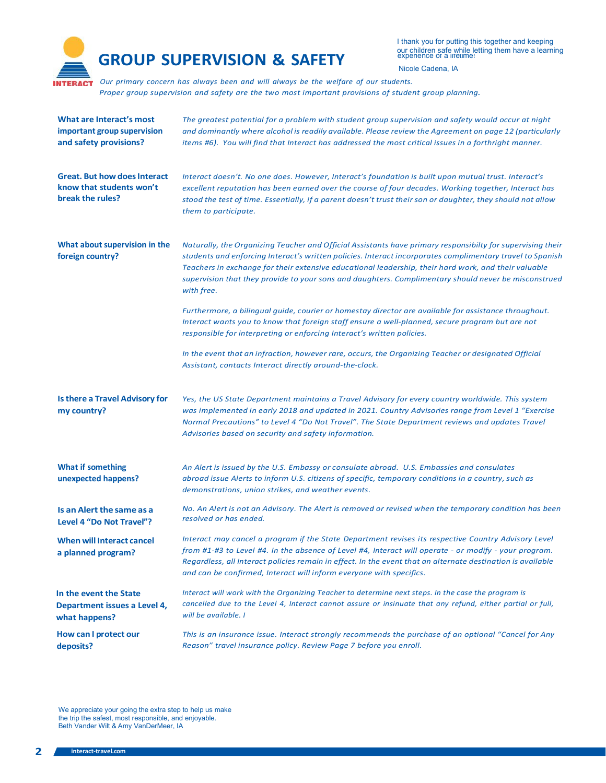

I thank you for putting this together and keeping our children safe while letting them have a learning

Nicole Cadena, IA

*Our primary concern has always been and will always be the welfare of our students. Proper group supervision and safety are the two most important provisions of student group planning.*

| What are Interact's most<br>important group supervision<br>and safety provisions?   | The greatest potential for a problem with student group supervision and safety would occur at night<br>and dominantly where alcohol is readily available. Please review the Agreement on page 12 (particularly<br>items #6). You will find that Interact has addressed the most critical issues in a forthright manner.                                                                                                                               |
|-------------------------------------------------------------------------------------|-------------------------------------------------------------------------------------------------------------------------------------------------------------------------------------------------------------------------------------------------------------------------------------------------------------------------------------------------------------------------------------------------------------------------------------------------------|
| <b>Great. But how does Interact</b><br>know that students won't<br>break the rules? | Interact doesn't. No one does. However, Interact's foundation is built upon mutual trust. Interact's<br>excellent reputation has been earned over the course of four decades. Working together, Interact has<br>stood the test of time. Essentially, if a parent doesn't trust their son or daughter, they should not allow<br>them to participate.                                                                                                   |
| What about supervision in the<br>foreign country?                                   | Naturally, the Organizing Teacher and Official Assistants have primary responsibilty for supervising their<br>students and enforcing Interact's written policies. Interact incorporates complimentary travel to Spanish<br>Teachers in exchange for their extensive educational leadership, their hard work, and their valuable<br>supervision that they provide to your sons and daughters. Complimentary should never be misconstrued<br>with free. |
|                                                                                     | Furthermore, a bilingual guide, courier or homestay director are available for assistance throughout.<br>Interact wants you to know that foreign staff ensure a well-planned, secure program but are not<br>responsible for interpreting or enforcing Interact's written policies.                                                                                                                                                                    |
|                                                                                     | In the event that an infraction, however rare, occurs, the Organizing Teacher or designated Official<br>Assistant, contacts Interact directly around-the-clock.                                                                                                                                                                                                                                                                                       |
| Is there a Travel Advisory for<br>my country?                                       | Yes, the US State Department maintains a Travel Advisory for every country worldwide. This system<br>was implemented in early 2018 and updated in 2021. Country Advisories range from Level 1 "Exercise<br>Normal Precautions" to Level 4 "Do Not Travel". The State Department reviews and updates Travel<br>Advisories based on security and safety information.                                                                                    |
| <b>What if something</b><br>unexpected happens?                                     | An Alert is issued by the U.S. Embassy or consulate abroad. U.S. Embassies and consulates<br>abroad issue Alerts to inform U.S. citizens of specific, temporary conditions in a country, such as<br>demonstrations, union strikes, and weather events.                                                                                                                                                                                                |
| Is an Alert the same as a<br>Level 4 "Do Not Travel"?                               | No. An Alert is not an Advisory. The Alert is removed or revised when the temporary condition has been<br>resolved or has ended.                                                                                                                                                                                                                                                                                                                      |
| When will Interact cancel<br>a planned program?                                     | Interact may cancel a program if the State Department revises its respective Country Advisory Level<br>from #1-#3 to Level #4. In the absence of Level #4, Interact will operate - or modify - your program.<br>Regardless, all Interact policies remain in effect. In the event that an alternate destination is available<br>and can be confirmed, Interact will inform everyone with specifics.                                                    |
| In the event the State<br>Department issues a Level 4,<br>what happens?             | Interact will work with the Organizing Teacher to determine next steps. In the case the program is<br>cancelled due to the Level 4, Interact cannot assure or insinuate that any refund, either partial or full,<br>will be available. I                                                                                                                                                                                                              |
| How can I protect our<br>deposits?                                                  | This is an insurance issue. Interact strongly recommends the purchase of an optional "Cancel for Any<br>Reason" travel insurance policy. Review Page 7 before you enroll.                                                                                                                                                                                                                                                                             |

We appreciate your going the extra step to help us make the trip the safest, most responsible, and enjoyable. Beth Vander Wilt & Amy VanDerMeer, IA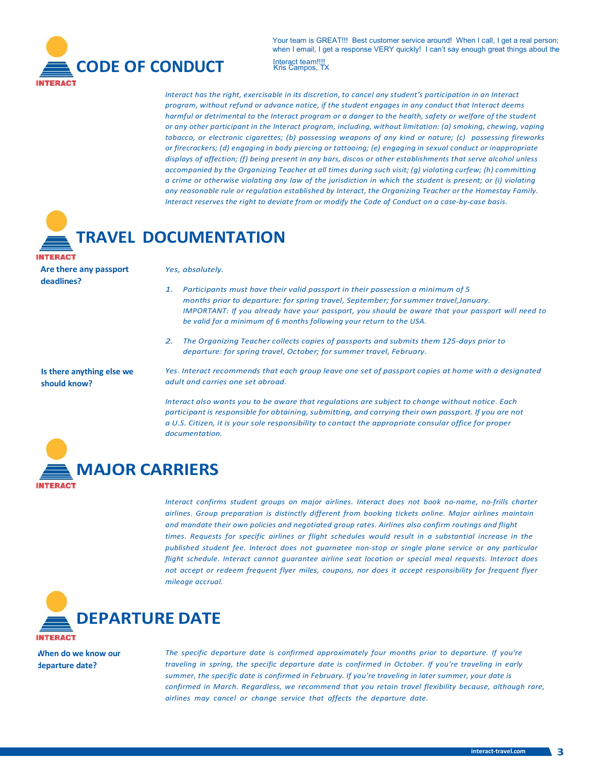

Your team is GREAT!!! Best customer service around! When I call, I get a real person: when I email, I get a response VERY quickly! I can't say enough great things about the Interact team!!!!<br>Kris Campos, TX

*Interact has the right, exercisable in its discretion, to cancel any student's participation in an Interact program, without refund or advance notice, if the student engages in any conduct that Interact deems harmful or detrimental to the Interact program or a danger to the health, safety or welfare of the student or any other participant in the Interact program, including, without limitation: (a) smoking, chewing, vaping tobacco, or electronic cigarettes; (b) possessing weapons of any kind or nature; (c) possessing fireworks or firecrackers; (d) engaging in body piercing or tattooing; (e) engaging in sexual conduct or inappropriate displays of affection; (f) being present in any bars, discos or other establishments that serve alcohol unless accompanied by the Organizing Teacher at all times during such visit; (g) violating curfew; (h) committing* a crime or otherwise violating any law of the jurisdiction in which the student is present; or (i) violating *any reasonable rule or regulation established by Interact, the Organizing Teacher or the Homestay Family. Interact reserves the right to deviate from or modify the Code of Conduct on a case-by-case basis.*



**Are there any passport deadlines?**

#### *Yes, absolutely.*

- *1. Participants must have their valid passport in their possession a minimum of 5 months prior to departure: for spring travel, September; for summer travel,January. IMPORTANT: If you already have your passport, you should be aware that your passport will need to be valid for a minimum of 6 months following your return to the USA.*
- *2. The Organizing Teacher collects copies of passports and submits them 125-days prior to departure: for spring travel, October; for summer travel, February.*

**Is there anything else we should know?**

*Yes. Interact recommends that each group leave one set of passport copies at home with a designated adult and carries one set abroad.*

*Interact also wants you to be aware that regulations are subject to change without notice. Each participant is responsible for obtaining,submitting, and carrying their own passport. If you are not a U.S. Citizen, it is your sole responsibility to contact the appropriate consular office for proper documentation.*



*Interact confirms student groups on major airlines. Interact does not book no-name, no-frills charter airlines. Group preparation is distinctly different from booking tickets online. Major airlines maintain and mandate their own policies and negotiated group rates. Airlines also confirm routings and flight times. Requests for specific airlines or flight schedules would result in a substantial increase in the published student fee. Interact does not guarnatee non-stop or single plane service or any particular flight schedule. Interact cannot guarantee airline seat location or special meal requests. Interact does not accept or redeem frequent flyer miles, coupons, nor does it accept responsibility for frequent flyer mileage accrual.*



**When do we know our departure date?**

*The specific departure date is confirmed approximately four months prior to departure. If you're traveling in spring, the specific departure date is confirmed in October. If you're traveling in early summer, the specific date is confirmed in February. If you're traveling in later summer, your date is confirmed in March. Regardless, we recommend that you retain travel flexibility because, although rare, airlines may cancel or change service that affects the departure date.*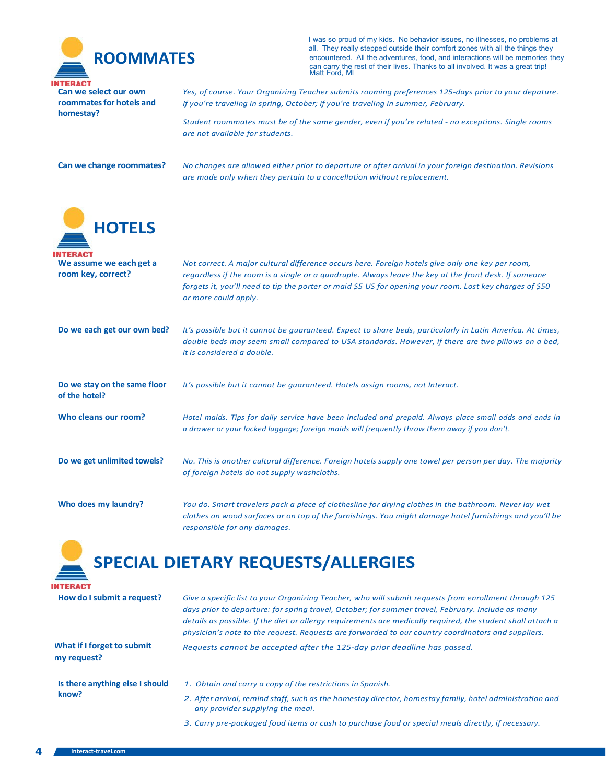

I was so proud of my kids. No behavior issues, no illnesses, no problems at all. They really stepped outside their comfort zones with all the things they **ROOMMATES**<br>
encountered. All the adventures, food, and interactions will be memories they<br>
can carry the rest of their lives. Thanks to all involved. It was a great trip!<br>
Matt Ford, MI

**Can we select our own roommates for hotels and homestay?**

*Yes, of course. Your Organizing Teacher submits rooming preferences 125-days prior to your depature. If you're traveling in spring, October; if you're traveling in summer, February.*

*Student roommates must be of the same gender, even if you're related - no exceptions. Single rooms are not available for students.*

Can we change roommates? No changes are allowed either prior to departure or after arrival in your foreign destination. Revisions *are made only when they pertain to a cancellation without replacement.*

| <b>HOTELS</b>                                 |                                                                                                                                                                                                                                                                                                                                                                                                                                 |
|-----------------------------------------------|---------------------------------------------------------------------------------------------------------------------------------------------------------------------------------------------------------------------------------------------------------------------------------------------------------------------------------------------------------------------------------------------------------------------------------|
| We assume we each get a<br>room key, correct? | Not correct. A major cultural difference occurs here. Foreign hotels give only one key per room,<br>regardless if the room is a single or a quadruple. Always leave the key at the front desk. If someone<br>forgets it, you'll need to tip the porter or maid \$5 US for opening your room. Lost key charges of \$50<br>or more could apply.                                                                                   |
| Do we each get our own bed?                   | It's possible but it cannot be guaranteed. Expect to share beds, particularly in Latin America. At times,<br>double beds may seem small compared to USA standards. However, if there are two pillows on a bed,<br>it is considered a double.                                                                                                                                                                                    |
| Do we stay on the same floor<br>of the hotel? | It's possible but it cannot be quaranteed. Hotels assign rooms, not Interact.                                                                                                                                                                                                                                                                                                                                                   |
| Who cleans our room?                          | Hotel maids. Tips for daily service have been included and prepaid. Always place small odds and ends in<br>a drawer or your locked luggage; foreign maids will frequently throw them away if you don't.                                                                                                                                                                                                                         |
| Do we get unlimited towels?                   | No. This is another cultural difference. Foreign hotels supply one towel per person per day. The majority<br>of foreign hotels do not supply washcloths.                                                                                                                                                                                                                                                                        |
| Who does my laundry?                          | You do. Smart travelers pack a piece of clothesline for drying clothes in the bathroom. Never lay wet<br>clothes on wood surfaces or on top of the furnishings. You might damage hotel furnishings and you'll be<br>responsible for any damages.                                                                                                                                                                                |
|                                               | <b>SPECIAL DIETARY REQUESTS/ALLERGIES</b>                                                                                                                                                                                                                                                                                                                                                                                       |
| How do I submit a request?                    | Give a specific list to your Organizing Teacher, who will submit requests from enrollment through 125<br>days prior to departure: for spring travel, October; for summer travel, February. Include as many<br>details as possible. If the diet or allergy requirements are medically required, the student shall attach a<br>physician's note to the request. Requests are forwarded to our country coordinators and suppliers. |

**What if I forget to submit my request?**

**Is there anything else I should know?**

*1. Obtain and carry a copy of the restrictions in Spanish.*

*Requests cannot be accepted after the 125-day prior deadline has passed.*

- *2. After arrival, remind staff,such as the homestay director, homestay family, hotel administration and any provider supplying the meal.*
- *3. Carry pre-packaged food items or cash to purchase food or special meals directly, if necessary.*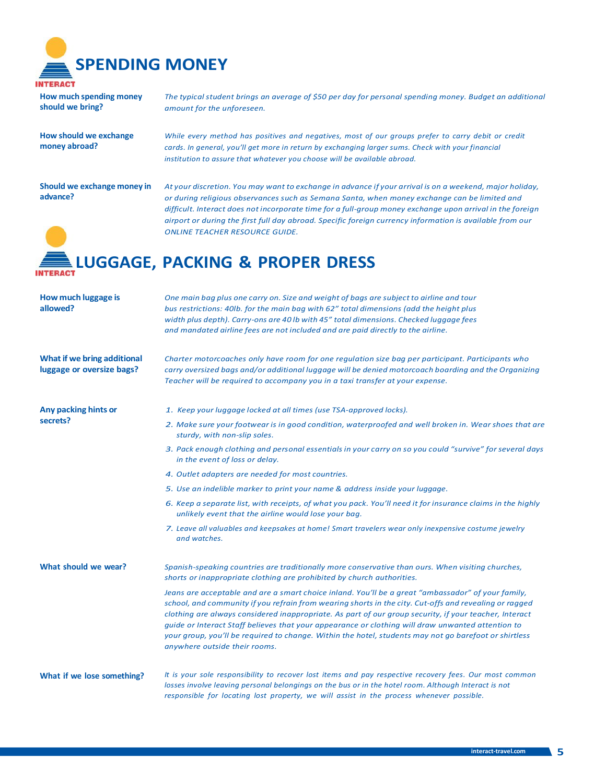

**How much spending money should we bring?**

**How should we exchange money abroad?**

*The typical student brings an average of \$50 per day for personal spending money. Budget an additional amount for the unforeseen.*

*While every method has positives and negatives, most of our groups prefer to carry debit or credit cards. In general, you'll get more in return by exchanging larger sums. Check with your financial institution to assure that whatever you choose will be available abroad.*

**Should we exchange money in advance?**

At your discretion. You may want to exchange in advance if your arrival is on a weekend, major holiday, *or during religious observances such as Semana Santa, when money exchange can be limited and difficult. Interact does not incorporate time for a full-group money exchange upon arrival in the foreign airport or during the first full day abroad. Specific foreign currency information is available from our ONLINE TEACHER RESOURCE GUIDE.*

## **LUGGAGE, PACKING & PROPER DRESS**

| How much luggage is<br>allowed?                          | One main bag plus one carry on. Size and weight of bags are subject to airline and tour<br>bus restrictions: 40lb. for the main bag with 62" total dimensions (add the height plus<br>width plus depth). Carry-ons are 40 lb with 45" total dimensions. Checked luggage fees<br>and mandated airline fees are not included and are paid directly to the airline.                                                                                                                                                                                                      |
|----------------------------------------------------------|-----------------------------------------------------------------------------------------------------------------------------------------------------------------------------------------------------------------------------------------------------------------------------------------------------------------------------------------------------------------------------------------------------------------------------------------------------------------------------------------------------------------------------------------------------------------------|
| What if we bring additional<br>luggage or oversize bags? | Charter motorcoaches only have room for one regulation size bag per participant. Participants who<br>carry oversized bags and/or additional luggage will be denied motorcoach boarding and the Organizing<br>Teacher will be required to accompany you in a taxi transfer at your expense.                                                                                                                                                                                                                                                                            |
| Any packing hints or<br>secrets?                         | 1. Keep your luggage locked at all times (use TSA-approved locks).                                                                                                                                                                                                                                                                                                                                                                                                                                                                                                    |
|                                                          | 2. Make sure your footwear is in good condition, waterproofed and well broken in. Wear shoes that are<br>sturdy, with non-slip soles.                                                                                                                                                                                                                                                                                                                                                                                                                                 |
|                                                          | 3. Pack enough clothing and personal essentials in your carry on so you could "survive" for several days<br>in the event of loss or delay.                                                                                                                                                                                                                                                                                                                                                                                                                            |
|                                                          | 4. Outlet adapters are needed for most countries.                                                                                                                                                                                                                                                                                                                                                                                                                                                                                                                     |
|                                                          | 5. Use an indelible marker to print your name & address inside your luggage.                                                                                                                                                                                                                                                                                                                                                                                                                                                                                          |
|                                                          | 6. Keep a separate list, with receipts, of what you pack. You'll need it for insurance claims in the highly<br>unlikely event that the airline would lose your bag.                                                                                                                                                                                                                                                                                                                                                                                                   |
|                                                          | 7. Leave all valuables and keepsakes at home! Smart travelers wear only inexpensive costume jewelry<br>and watches.                                                                                                                                                                                                                                                                                                                                                                                                                                                   |
| What should we wear?                                     | Spanish-speaking countries are traditionally more conservative than ours. When visiting churches,<br>shorts or inappropriate clothing are prohibited by church authorities.                                                                                                                                                                                                                                                                                                                                                                                           |
|                                                          | Jeans are acceptable and are a smart choice inland. You'll be a great "ambassador" of your family,<br>school, and community if you refrain from wearing shorts in the city. Cut-offs and revealing or ragged<br>clothing are always considered inappropriate. As part of our group security, if your teacher, Interact<br>quide or Interact Staff believes that your appearance or clothing will draw unwanted attention to<br>your group, you'll be required to change. Within the hotel, students may not go barefoot or shirtless<br>anywhere outside their rooms. |
| What if we lose something?                               | It is your sole responsibility to recover lost items and pay respective recovery fees. Our most common<br>losses involve leaving personal belongings on the bus or in the hotel room. Although Interact is not<br>responsible for locating lost property, we will assist in the process whenever possible.                                                                                                                                                                                                                                                            |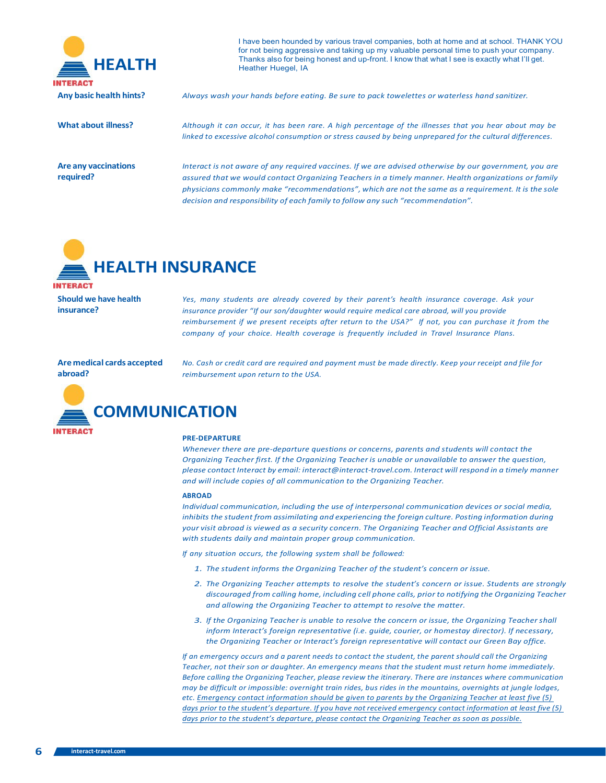

I have been hounded by various travel companies, both at home and at school. THANK YOU for not being aggressive and taking up my valuable personal time to push your company. **HEALTH** Thanks also for being honest and up-front. I know that what I see is exactly what I'll get. Heather Huegel, IA

**Any basic health hints?** *Always wash your hands before eating. Be sure to pack towelettes or waterless hand sanitizer.*

### What about illness? Although it can occur, it has been rare. A high percentage of the illnesses that you hear about may be

**Are any vaccinations required?**

*linked to excessive alcohol consumption or stress caused by being unprepared for the cultural differences.*

Interact is not aware of any required vaccines. If we are advised otherwise by our government, you are *assured that we would contact Organizing Teachers in a timely manner. Health organizations or family physicians commonly make "recommendations", which are not the same as a requirement. It is the sole decision and responsibility of each family to follow any such "recommendation".*



**Should we have health insurance?**

*Yes, many students are already covered by their parent's health insurance coverage. Ask your insurance provider "If our son/daughter would require medical care abroad, will you provide reimbursement if we present receipts after return to the USA?" If not, you can purchase it from the company of your choice. Health coverage is frequently included in Travel Insurance Plans.*

#### **Aremedical cards accepted abroad?**

*No. Cash or credit card are required and payment must be made directly. Keep your receipt and file for reimbursement upon return to the USA.*



#### **PRE-DEPARTURE**

*Whenever there are pre-departure questions or concerns, parents and students will contact the Organizing Teacher first. If the Organizing Teacher is unable or unavailable to answer the question, please contact Interact by email: [interact@interact-travel.com.](mailto:interact@interact-travel.com) Interact will respond in a timely manner and will include copies of all communication to the Organizing Teacher.*

#### **ABROAD**

*Individual communication, including the use of interpersonal communication devices or social media, inhibits the student from assimilating and experiencing the foreign culture. Posting information during your visit abroad is viewed as a security concern. The Organizing Teacher and Official Assistants are with students daily and maintain proper group communication.*

*If any situation occurs, the following system shall be followed:*

- *1. The student informs the Organizing Teacher of the student's concern or issue.*
- *2. The Organizing Teacher attempts to resolve the student's concern or issue. Students are strongly discouraged from calling home, including cell phone calls, prior to notifying the Organizing Teacher and allowing the Organizing Teacher to attempt to resolve the matter.*
- *3. If the Organizing Teacher is unable to resolve the concern or issue, the Organizing Teacher shall inform Interact's foreign representative (i.e. guide, courier, or homestay director). If necessary, the Organizing Teacher or Interact's foreign representative will contact our Green Bay office.*

*If an emergency occurs and a parent needs to contact the student, the parent should call the Organizing Teacher, not their son or daughter. An emergency means that the student must return home immediately. Before calling the Organizing Teacher, please review the itinerary. There are instances where communication may be difficult or impossible: overnight train rides, bus rides in the mountains, overnights at jungle lodges, etc. Emergency contact information should be given to parents by the Organizing Teacher at least five (5) days prior to the student's departure. If you have not received emergency contact information at least five (5) days prior to the student's departure, please contact the Organizing Teacher as soon as possible.*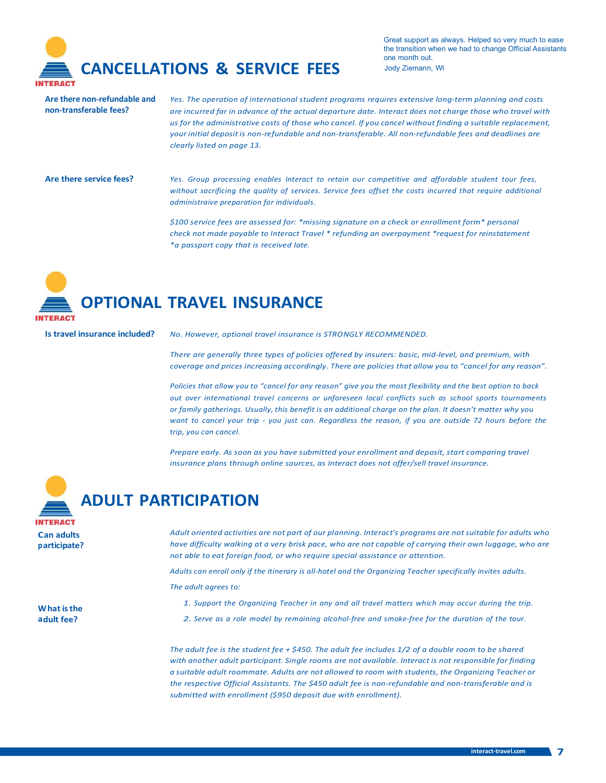

Great support as always. Helped so very much to ease the transition when we had to change Official Assistants one month out.

**Are there non-refundable and non-transferable fees?**

*Yes. The operation of international student programs requires extensive long-term planning and costs*  are incurred far in advance of the actual departure date. Interact does not charge those who travel with us for the administrative costs of those who cancel. If you cancel without finding a suitable replacement, *your initial deposit is non-refundable and non-transferable. All non-refundable fees and deadlines are clearly listed on page 13.*

Are there service fees? Yes. Group processing enables Interact to retain our competitive and affordable student tour fees, *without sacrificing the quality of services. Service fees offset the costs incurred that require additional administraive preparation for individuals.*

> *\$100 service fees are assessed for: \*missing signature on a check or enrollment form\* personal check not made payable to Interact Travel \* refunding an overpayment \*request for reinstatement \*a passport copy that is received late.*

## **OPTIONAL TRAVEL INSURANCE**

**Is travel insurance included?** *No. However, optional travel insurance is STRONGLY RECOMMENDED.*

*There are generally three types of policies offered by insurers: basic, mid-level, and premium, with coverage and prices increasing accordingly. There are policies that allow you to "cancel for any reason".*

*Policies that allow you to "cancel for any reason" give you the most flexibility and the best option to back out over international travel concerns or unforeseen local conflicts such as school sports tournaments or family gatherings. Usually, this benefit is an additional charge on the plan. It doesn't matter why you* want to cancel your trip - you just can. Regardless the reason, if you are outside 72 hours before the *trip, you can cancel.*

*Prepare early. As soon as you have submitted your enrollment and deposit, start comparing travel insurance plans through online sources, as Interact does not offer/sell travel insurance.*



**W hat isthe a dult fee?**

**ADULT PARTICIPATION**

*Adult oriented activities are not part of our planning. Interact's programs are notsuitable for adults who*  have difficulty walking at a very brisk pace, who are not capable of carrying their own luggage, who are *not able to eat foreign food, or who require special assistance or attention.*

*Adults can enroll only if the itinerary is all-hotel and the Organizing Teacher specifically invites adults.*

*The adult agrees to:*

- *1. Support the Organizing Teacher in any and all travel matters which may occur during the trip.*
- *2. Serve as a role model by remaining alcohol-free and smoke-free for the duration of the tour.*

*The adult fee is the student fee + \$450. The adult fee includes 1/2 of a double room to be shared with another adult participant. Single rooms are not available. Interact is not responsible for finding a suitable adult roommate. Adults are not allowed to room with students, the Organizing Teacher or the respective Official Assistants. The \$450 adult fee is non-refundable and non-transferable and is submitted with enrollment (\$950 deposit due with enrollment).*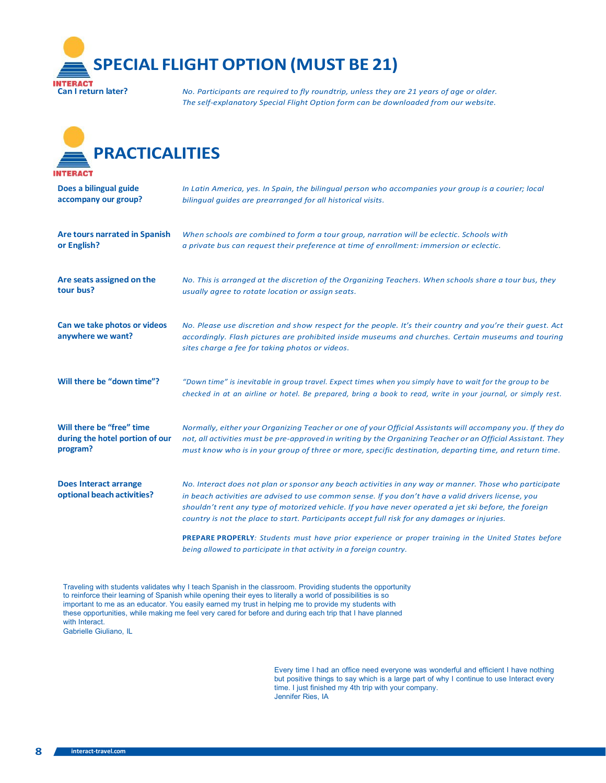

**Can I return later?** *No. Participants are required to fly roundtrip, unless they are 21 years of age or older. The self-explanatory Special Flight Option form can be downloaded from our website.*



| Does a bilingual guide                                     | In Latin America, yes. In Spain, the bilingual person who accompanies your group is a courier; local                                                                                                                                                                                                                                                                                                                     |
|------------------------------------------------------------|--------------------------------------------------------------------------------------------------------------------------------------------------------------------------------------------------------------------------------------------------------------------------------------------------------------------------------------------------------------------------------------------------------------------------|
| accompany our group?                                       | bilingual quides are prearranged for all historical visits.                                                                                                                                                                                                                                                                                                                                                              |
| Are tours narrated in Spanish                              | When schools are combined to form a tour group, narration will be eclectic. Schools with                                                                                                                                                                                                                                                                                                                                 |
| or English?                                                | a private bus can request their preference at time of enrollment: immersion or eclectic.                                                                                                                                                                                                                                                                                                                                 |
| Are seats assigned on the                                  | No. This is arranged at the discretion of the Organizing Teachers. When schools share a tour bus, they                                                                                                                                                                                                                                                                                                                   |
| tour bus?                                                  | usually agree to rotate location or assign seats.                                                                                                                                                                                                                                                                                                                                                                        |
| Can we take photos or videos<br>anywhere we want?          | No. Please use discretion and show respect for the people. It's their country and you're their quest. Act<br>accordingly. Flash pictures are prohibited inside museums and churches. Certain museums and touring<br>sites charge a fee for taking photos or videos.                                                                                                                                                      |
| Will there be "down time"?                                 | "Down time" is inevitable in group travel. Expect times when you simply have to wait for the group to be<br>checked in at an airline or hotel. Be prepared, bring a book to read, write in your journal, or simply rest.                                                                                                                                                                                                 |
| Will there be "free" time                                  | Normally, either your Organizing Teacher or one of your Official Assistants will accompany you. If they do                                                                                                                                                                                                                                                                                                               |
| during the hotel portion of our                            | not, all activities must be pre-approved in writing by the Organizing Teacher or an Official Assistant. They                                                                                                                                                                                                                                                                                                             |
| program?                                                   | must know who is in your group of three or more, specific destination, departing time, and return time.                                                                                                                                                                                                                                                                                                                  |
| <b>Does Interact arrange</b><br>optional beach activities? | No. Interact does not plan or sponsor any beach activities in any way or manner. Those who participate<br>in beach activities are advised to use common sense. If you don't have a valid drivers license, you<br>shouldn't rent any type of motorized vehicle. If you have never operated a jet ski before, the foreign<br>country is not the place to start. Participants accept full risk for any damages or injuries. |
|                                                            | PREPARE PROPERLY: Students must have prior experience or proper training in the United States before<br>being allowed to participate in that activity in a foreign country.                                                                                                                                                                                                                                              |

Traveling with students validates why I teach Spanish in the classroom. Providing students the opportunity to reinforce their learning of Spanish while opening their eyes to literally a world of possibilities is so important to me as an educator. You easily earned my trust in helping me to provide my students with these opportunities, while making me feel very cared for before and during each trip that I have planned with Interact. Gabrielle Giuliano, IL

> Every time I had an office need everyone was wonderful and efficient I have nothing but positive things to say which is a large part of why I continue to use Interact every time. I just finished my 4th trip with your company. Jennifer Ries, IA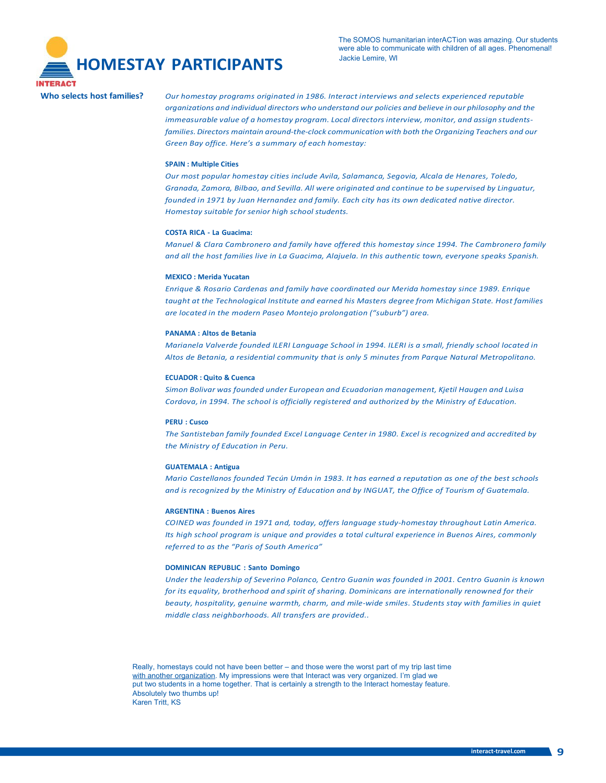

The SOMOS humanitarian interACTion was amazing. Our students were able to communicate with children of all ages. Phenomenal!

Who selects host families? Our homestay programs originated in 1986. Interact interviews and selects experienced reputable *organizations and individual directors who understand our policies and believe in our philosophy and the immeasurable value of a homestay program. Local directors interview, monitor, and assign studentsfamilies. Directors maintain around-the-clock communication with both the Organizing Teachers and our Green Bay office. Here's a summary of each homestay:*

#### **SPAIN : Multiple Cities**

*Our most popular homestay cities include Avila, Salamanca, Segovia, Alcala de Henares, Toledo, Granada, Zamora, Bilbao, and Sevilla. All were originated and continue to be supervised by Linguatur, founded in 1971 by Juan Hernandez and family. Each city has its own dedicated native director. Homestay suitable for senior high school students.*

#### **COSTA RICA - La Guacima:**

*Manuel & Clara Cambronero and family have offered this homestay since 1994. The Cambronero family and all the host families live in La Guacima, Alajuela. In this authentic town, everyone speaks Spanish.*

#### **MEXICO : Merida Yucatan**

*Enrique & Rosario Cardenas and family have coordinated our Merida homestay since 1989. Enrique taught at the Technological Institute and earned his Masters degree from Michigan State. Host families are located in the modern Paseo Montejo prolongation ("suburb") area.*

#### **PANAMA : Altos de Betania**

*Marianela Valverde founded ILERI Language School in 1994. ILERI is a small, friendly school located in Altos de Betania, a residential community that is only 5 minutes from Parque Natural Metropolitano.*

#### **ECUADOR : Quito & Cuenca**

*Simon Bolivar was founded under European and Ecuadorian management, Kjetil Haugen and Luisa Cordova, in 1994. The school is officially registered and authorized by the Ministry of Education.*

#### **PERU : Cusco**

*The Santisteban family founded Excel Language Center in 1980. Excel is recognized and accredited by the Ministry of Education in Peru.*

#### **GUATEMALA : Antigua**

*Mario Castellanos founded Tecún Umán in 1983. It has earned a reputation as one of the best schools and is recognized by the Ministry of Education and by INGUAT, the Office of Tourism of Guatemala.*

#### **ARGENTINA : Buenos Aires**

*COINED was founded in 1971 and, today, offers language study-homestay throughout Latin America. Its high school program is unique and provides a total cultural experience in Buenos Aires, commonly referred to as the "Paris of South America"*

### **DOMINICAN REPUBLIC : Santo Domingo**

*Under the leadership of Severino Polanco, Centro Guanin was founded in 2001. Centro Guanin is known for its equality, brotherhood and spirit of sharing. Dominicans are internationally renowned for their beauty, hospitality, genuine warmth, charm, and mile-wide smiles. Students stay with families in quiet middle class neighborhoods. All transfers are provided..*

Really, homestays could not have been better – and those were the worst part of my trip last time with another organization. My impressions were that Interact was very organized. I'm glad we put two students in a home together. That is certainly a strength to the Interact homestay feature. Absolutely two thumbs up! Karen Tritt, KS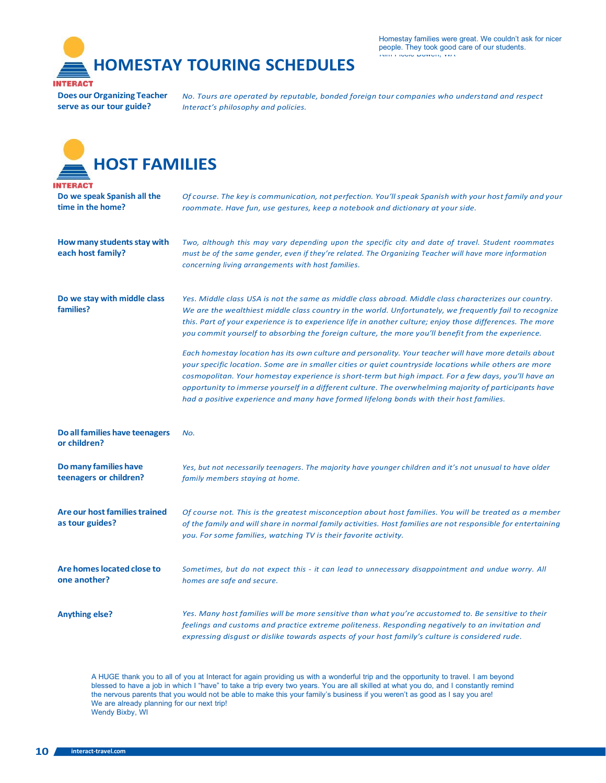**HOMESTAY TOURING SCHEDULES INTERACT** 

**Does our Organizing Teacher serve as our tour guide?**

*No. Tours are operated by reputable, bonded foreign tour companies who understand and respect Interact's philosophy and policies.*

| <b>HOST FAMILIES</b>                                       |                                                                                                                                                                                                                                                                                                                                                                                                                                                                                                                                                                                                                                                                                                                                                                                                                                                                                                                                                                      |  |  |  |
|------------------------------------------------------------|----------------------------------------------------------------------------------------------------------------------------------------------------------------------------------------------------------------------------------------------------------------------------------------------------------------------------------------------------------------------------------------------------------------------------------------------------------------------------------------------------------------------------------------------------------------------------------------------------------------------------------------------------------------------------------------------------------------------------------------------------------------------------------------------------------------------------------------------------------------------------------------------------------------------------------------------------------------------|--|--|--|
| TERACT<br>Do we speak Spanish all the<br>time in the home? | Of course. The key is communication, not perfection. You'll speak Spanish with your host family and your<br>roommate. Have fun, use gestures, keep a notebook and dictionary at your side.                                                                                                                                                                                                                                                                                                                                                                                                                                                                                                                                                                                                                                                                                                                                                                           |  |  |  |
| How many students stay with<br>each host family?           | Two, although this may vary depending upon the specific city and date of travel. Student roommates<br>must be of the same gender, even if they're related. The Organizing Teacher will have more information<br>concerning living arrangements with host families.                                                                                                                                                                                                                                                                                                                                                                                                                                                                                                                                                                                                                                                                                                   |  |  |  |
| Do we stay with middle class<br>families?                  | Yes. Middle class USA is not the same as middle class abroad. Middle class characterizes our country.<br>We are the wealthiest middle class country in the world. Unfortunately, we frequently fail to recognize<br>this. Part of your experience is to experience life in another culture; enjoy those differences. The more<br>you commit yourself to absorbing the foreign culture, the more you'll benefit from the experience.<br>Each homestay location has its own culture and personality. Your teacher will have more details about<br>your specific location. Some are in smaller cities or quiet countryside locations while others are more<br>cosmopolitan. Your homestay experience is short-term but high impact. For a few days, you'll have an<br>opportunity to immerse yourself in a different culture. The overwhelming majority of participants have<br>had a positive experience and many have formed lifelong bonds with their host families. |  |  |  |
| Do all families have teenagers<br>or children?             | No.                                                                                                                                                                                                                                                                                                                                                                                                                                                                                                                                                                                                                                                                                                                                                                                                                                                                                                                                                                  |  |  |  |
| Do many families have<br>teenagers or children?            | Yes, but not necessarily teenagers. The majority have younger children and it's not unusual to have older<br>family members staying at home.                                                                                                                                                                                                                                                                                                                                                                                                                                                                                                                                                                                                                                                                                                                                                                                                                         |  |  |  |
| Are our host families trained<br>as tour guides?           | Of course not. This is the greatest misconception about host families. You will be treated as a member<br>of the family and will share in normal family activities. Host families are not responsible for entertaining<br>you. For some families, watching TV is their favorite activity.                                                                                                                                                                                                                                                                                                                                                                                                                                                                                                                                                                                                                                                                            |  |  |  |
| Are homes located close to<br>one another?                 | Sometimes, but do not expect this - it can lead to unnecessary disappointment and undue worry. All<br>homes are safe and secure.                                                                                                                                                                                                                                                                                                                                                                                                                                                                                                                                                                                                                                                                                                                                                                                                                                     |  |  |  |
| <b>Anything else?</b>                                      | Yes. Many host families will be more sensitive than what you're accustomed to. Be sensitive to their<br>feelings and customs and practice extreme politeness. Responding negatively to an invitation and<br>expressing disgust or dislike towards aspects of your host family's culture is considered rude.                                                                                                                                                                                                                                                                                                                                                                                                                                                                                                                                                                                                                                                          |  |  |  |

A HUGE thank you to all of you at Interact for again providing us with a wonderful trip and the opportunity to travel. I am beyond blessed to have a job in which I "have" to take a trip every two years. You are all skilled at what you do, and I constantly remind the nervous parents that you would not be able to make this your family's business if you weren't as good as I say you are! We are already planning for our next trip! Wendy Bixby, WI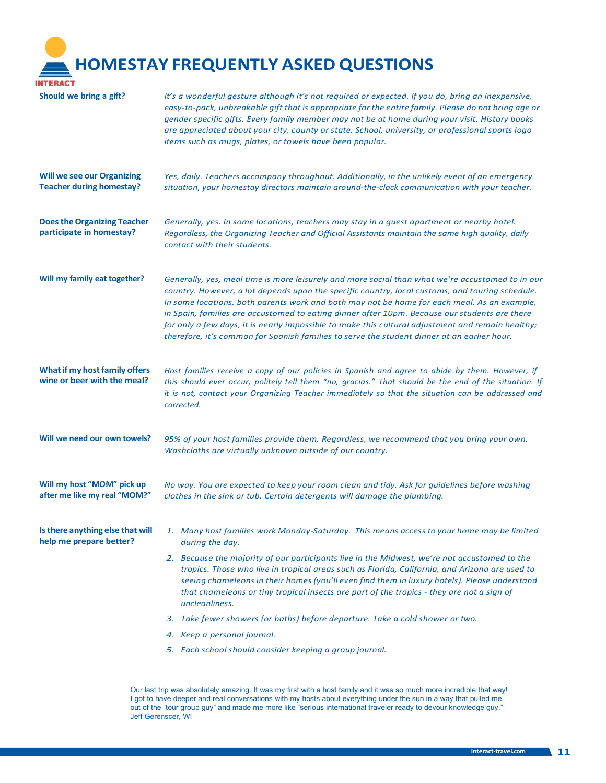**HOMESTAY FREQUENTLY ASKED QUESTIONS**

| INTERACT                                                             |                                                                                                                                                                                                                                                                                                                                                                                                                                                                                                                                                                                                         |  |
|----------------------------------------------------------------------|---------------------------------------------------------------------------------------------------------------------------------------------------------------------------------------------------------------------------------------------------------------------------------------------------------------------------------------------------------------------------------------------------------------------------------------------------------------------------------------------------------------------------------------------------------------------------------------------------------|--|
| Should we bring a gift?                                              | It's a wonderful gesture although it's not required or expected. If you do, bring an inexpensive,<br>easy-to-pack, unbreakable gift that is appropriate for the entire family. Please do not bring age or<br>gender specific gifts. Every family member may not be at home during your visit. History books<br>are appreciated about your city, county or state. School, university, or professional sports logo<br>items such as mugs, plates, or towels have been popular.                                                                                                                            |  |
| <b>Will we see our Organizing</b><br><b>Teacher during homestay?</b> | Yes, daily. Teachers accompany throughout. Additionally, in the unlikely event of an emergency<br>situation, your homestay directors maintain around-the-clock communication with your teacher.                                                                                                                                                                                                                                                                                                                                                                                                         |  |
| <b>Does the Organizing Teacher</b><br>participate in homestay?       | Generally, yes. In some locations, teachers may stay in a quest apartment or nearby hotel.<br>Regardless, the Organizing Teacher and Official Assistants maintain the same high quality, daily<br>contact with their students.                                                                                                                                                                                                                                                                                                                                                                          |  |
| Will my family eat together?                                         | Generally, yes, meal time is more leisurely and more social than what we're accustomed to in our<br>country. However, a lot depends upon the specific country, local customs, and touring schedule.<br>In some locations, both parents work and both may not be home for each meal. As an example,<br>in Spain, families are accustomed to eating dinner after 10pm. Because our students are there<br>for only a few days, it is nearly impossible to make this cultural adjustment and remain healthy;<br>therefore, it's common for Spanish families to serve the student dinner at an earlier hour. |  |
| What if my host family offers<br>wine or beer with the meal?         | Host families receive a copy of our policies in Spanish and agree to abide by them. However, if<br>this should ever occur, politely tell them "no, gracias." That should be the end of the situation. If<br>it is not, contact your Organizing Teacher immediately so that the situation can be addressed and<br>corrected.                                                                                                                                                                                                                                                                             |  |
| Will we need our own towels?                                         | 95% of your host families provide them. Regardless, we recommend that you bring your own.<br>Washcloths are virtually unknown outside of our country.                                                                                                                                                                                                                                                                                                                                                                                                                                                   |  |
| Will my host "MOM" pick up<br>after me like my real "MOM?"           | No way. You are expected to keep your room clean and tidy. Ask for guidelines before washing<br>clothes in the sink or tub. Certain detergents will damage the plumbing.                                                                                                                                                                                                                                                                                                                                                                                                                                |  |
| Is there anything else that will<br>help me prepare better?          | 1. Many host families work Monday-Saturday. This means access to your home may be limited<br>during the day.                                                                                                                                                                                                                                                                                                                                                                                                                                                                                            |  |
|                                                                      | 2. Because the majority of our participants live in the Midwest, we're not accustomed to the<br>tropics. Those who live in tropical areas such as Florida, California, and Arizona are used to<br>seeing chameleons in their homes (you'll even find them in luxury hotels). Please understand<br>that chameleons or tiny tropical insects are part of the tropics - they are not a sign of<br>uncleanliness.                                                                                                                                                                                           |  |
|                                                                      | 3. Take fewer showers (or baths) before departure. Take a cold shower or two.                                                                                                                                                                                                                                                                                                                                                                                                                                                                                                                           |  |
|                                                                      | 4. Keep a personal journal.                                                                                                                                                                                                                                                                                                                                                                                                                                                                                                                                                                             |  |
|                                                                      | 5. Each school should consider keeping a group journal.                                                                                                                                                                                                                                                                                                                                                                                                                                                                                                                                                 |  |
|                                                                      |                                                                                                                                                                                                                                                                                                                                                                                                                                                                                                                                                                                                         |  |

Our last trip was absolutely amazing. It was my first with a host family and it was so much more incredible that way! I got to have deeper and real conversations with my hosts about everything under the sun in a way that pulled me out of the "tour group guy" and made me more like "serious international traveler ready to devour knowledge guy." Jeff Gerenscer, WI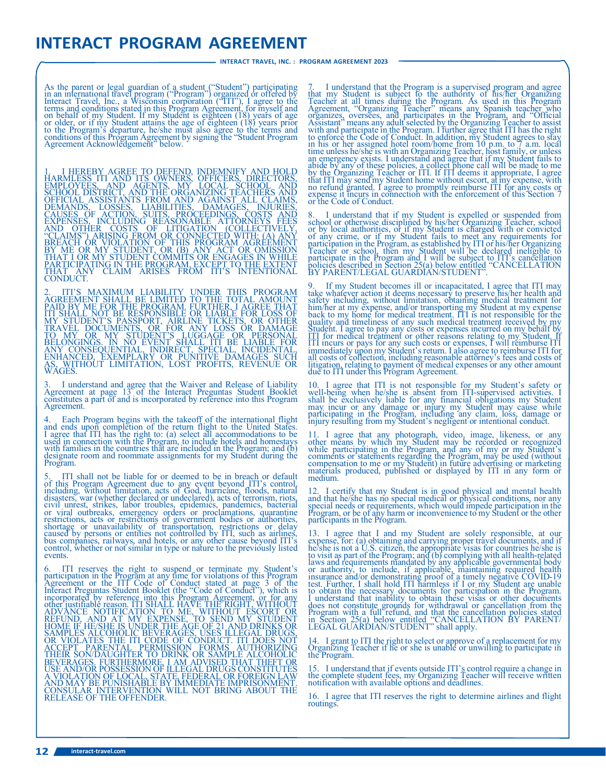### **INTERACT PROGRAM AGREEMENT**

As the parent or legal guardian of a student ("Student") participating<br>in an international travel program ("Program") organized or offered by<br>Interact Travel, Inc., a Wisconsin corporation ("ITI"), I agree to the<br>terms and conditions of this Program Agreement by signing the "Student Program Agreement Acknowledgement" below.

1. I HEREBY AGREE TO DEFEND, INDEMNIFY AND HOLD HARMLESS ITI AND ITS OWNERS. OFFICERS, DIRECTORS, AND EMPLOYEES, AND SCHOOL DISTRICT, AND THE ORGANIZING TEACHERS AND OFFICIAL ASSISTANTS FROM AND AGAINST ALL CLAIMS, DEMANDS

2. ITI'S MAXIMUM LIABILITY UNDER THIS PROGRAM<br>AGREEMENT SHALL BE LIMITED TO THE TOTAL AMOUNT<br>PAID BY ME FOR THE PROGRAM FURTHER, I AGREE THAT<br>ITI SHALL NOT BE RESPONSIBLE OR LIABLE FOR LOSS OF<br>MY STUDENT'S PASSPORT, AIRLIN AS, WIT<br>WAGES.

3. I understand and agree that the Waiver and Release of Liability Agreement at page 13 of the Interact Preguntas Student Booklet constitutes a part of and is incorporated by reference into this Program Agreement.

4. Each Program begins with the takeoff of the international flight<br>and ends upon completion of the return flight to the United States.<br>I agree that ITI has the right to: (a) select all accommodations to be<br>used in connect Program.

5. ITI shall not be liable for or deemed to be in breach or default<br>of this Program Agreement due to any event beyond ITI's control,<br>including, without limitation, acts of God, hurricane, floods, natural,<br>disasters, war (w

6. ITI reserves the right to suspend or terminate my Student's<br>participation in the Program at any time for violations of this Program<br>Agreement or the ITI Code of Conduct stated at page 3 of the<br>Interact Preguntas Student

7. I understand that the Program is a supervised program and agree that my Student is subject to the authority of his/her Organizing Teacher Teacher at all times during the Program. As used in this Program Agreement, "Orga

8. I understand that if my Student is expelled or suspended from<br>school or otherwise disciplined by his/her Organizing Teacher, school<br>or by local authorties, or if my Student is charged with or convicted<br>of any crime, or

9. If my Student becomes ill or incapacitated, I agree that ITI may take whatever action it deems necessary to preserve his/her health and safety including, without limitation, obtaining medical treatment for him/her at my

10. I agree that ITI is not responsible for my Student's safety or well-being when he/she is absent from ITI-supervised activities. I shall be exclusively liable for any timancial obligations my Student may incur or any da

11. <sup>I</sup> agree that any photograph, video, image, likeness, or any other means by which my Student may be recorded or recognized while participating in the Program, and any of my or my Student's<br>comments or statements regarding the Program, may be used (without<br>compensation to me or my Student) in future advertising or marketing<br>materials produced,

12. I certify that my Student is in good physical and mental health<br>and that he/she has no special medical or physical conditions, nor any<br>special needs or requirements, which would impede participation in the<br>Program, or

13. I agree that I and my Student are solely responsible, at our<br>expense, for: (a) obtaining and carrying proper travel documents, and if<br>he/she is not a U.S. citizen, the appropriate visas for countries he/she is<br>to visit

14. <sup>I</sup> grant to ITI the right to select or approve of <sup>a</sup> replacement for my Organizing Teacher if he or she is unable or unwilling to participate in the Program.

15. I understand that if events outside ITI's control require a change in the complete student fees, my Organizing Teacher will receive written notification with available options and deadlines.

16. I agree that ITI reserves the right to determine airlines and flight routings.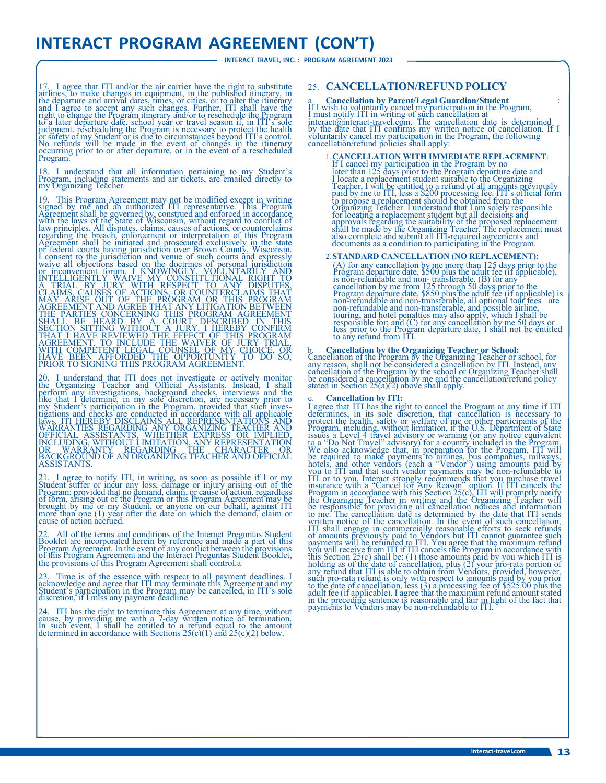## **INTERACT PROGRAM AGREEMENT (CON'T)**

**INTERACT TRAVEL, INC. : PROGRAM AGREEMENT 2023**

17. I agree that ITI and/or the air carrier have the right to substitute airlines, to make changes in equipment, in the published itinerary, in the published itinerary is and I agree to accept any such changes. Further, IT judgment, rescheduling the Program is necessary to protect the health or safety of my Student or is due to circumstances beyond ITI's control. No refunds will be made in the event of changes in the itinerary occurring prior to or after departure, or in the event of a rescheduled Program.

18. I understand that all information pertaining to my Student's Program, including statements and air tickets, are emailed directly to my Organizing Teacher.

19. This Program Agreement may not be modified except in writing<br>signed by me and an authorized ITI representative. This Program<br>Agreement shall be governed by, construed and enforced in accordance<br>with the laws of the Sta law principles. All disputes, claims, causes of actions, or counterclaims regarding the breach, enforcement or interpretation of this Program Agreement shall be unitated and prosecuted exclusively in the state or federal c

20. I understand that ITI does not investigate or actively monitor<br>the Organizing Teacher and Official Assistants. Instead, I shall<br>perform any investigations, background checks, interviews and the<br>like that I determine, i ASSISTANTS.

21. I agree to notify ITI, in writing, as soon as possible if I or my Student suffer or incur any loss, damage or injury arising out of the Program; provided that no demand, claim, or cause of action, regardless<br>of form, arising out of the Program or this Program Agreement may be<br>brought by me or my Student, or anyone on our behalf, against ITI<br>more than one ( cause of action accrued.

22. All of the terms and conditions of the Interact Preguntas Student Booklet are incorporated herein by reference and made a part of this Program Agreement. In the event of any conflict between the provisions of this Prog

23. Time is of the essence with respect to all payment deadlines. I acknowledge and agree that ITI may terminate this Agreement and my Student's participation in the Program may be cancelled, in ITI's sole discretion, if I miss any payment deadline.

24. ITI has the right to terminate this Agreement at any time, without cause, by providing me with a 7-day written notice of termination. In such event, I shall be entitled to a refund equal to the amount determined in ac

### 25. **CANCELLATION/REFUND POLICY**

a. Cancellation by Parent/Legal Guardian/Student :<br>If I wish to voluntarily cancel my participation in the Program,<br>I must notify ITI in writing of such cancellation at<br>[interact@interact-travel.com.](mailto:interact@interact-travel.com) The cancellation date i by the date that ITI confirms my written notice of cancellation. If I voluntarily cancel my participation in the Program, the following cancellation/refund policies shall apply:

1. CANCELLATION WITH IMMEDIATE REPLACEMENT:<br>If I cancel my participation in the Program by no<br>later than 125 days prior to the Program departure date and<br>locate a replacement student suitable to the Organizing<br>Teacher, I w for locating a replacement student but all decisions and<br>approvals regarding the suitability of the proposed replacement<br>shall be made by the Organizing Teacher. The replacement must<br>also complete and submit all ITI-requir

### 2.**STANDARD CANCELLATION (NO REPLACEMENT):**

(A) for any cancellation by me more than 125 days prior to the Program departure date, \$500 plus the addit fee (if applicable), is non-refundable and non- transferable, (B) for any cancellation by me from  $125$  through 50 Program departure date, \$850 plus the adult fee (if applicable) is<br>non-refundable and non-transferable, all optional tour fees are<br>non-refundable and non-transferable, and possible airline,<br>touring, and hotel penalties may

b. **Cancellation by the Organizing Teacher or School:**<br>Cancellation of the Program by the Organizing Teacher or school, for<br>any reason, shall not be considered a cancellation by ITI. Instead, any<br>cancellation of the Progr

#### c. **Cancellation by ITI:**

I agree that ITI has the right to cancel the Program at any time if ITI determines, in its sole discretion, that cancellation is necessary to protect the health, safety or welfrace of me or other participants of the Progra Program in accordance with this Section  $25(c)$ ,  $171$  will promptly notify<br>the Organizing Teacher in writing and the Organizing Teacher will<br>be responsible for providing all cancellation notices and information<br>to me. The ITI shall engage in commercially reasonable efforts to seek refunds<br>of amounts previously paid to Vendors but ITI cannot guarantee such<br>payments will be refunded to ITI. You agree that the maximum refund<br>you will receive f any refund that ITI is able to obtain from Vendors, provided, however,<br>such pro-rata refund is only with respect to amounts paid by you prior<br>to the date of cancellation, less (3) a processing fee of \$525.00 plus the<br>adult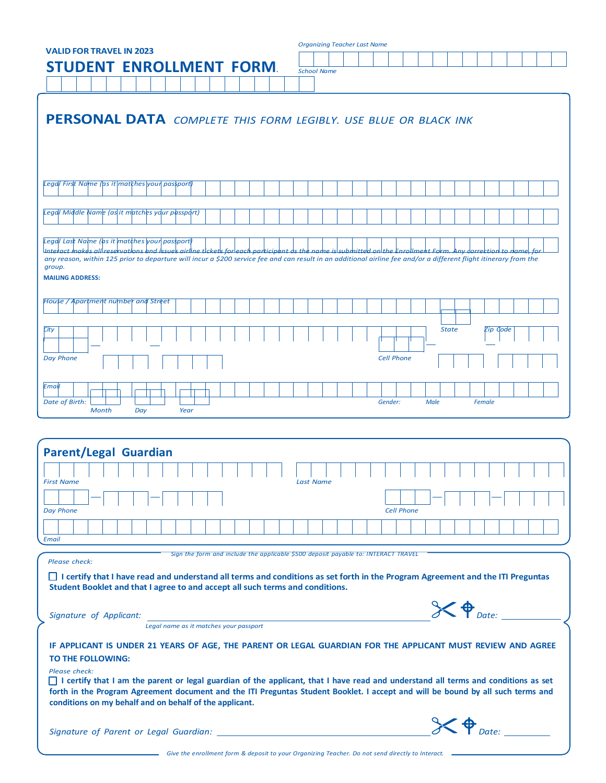| <b>Organizing Teacher Last Name</b><br><b>VALID FOR TRAVEL IN 2023</b>                                                                                                                                                                                                                                                                            |                            |
|---------------------------------------------------------------------------------------------------------------------------------------------------------------------------------------------------------------------------------------------------------------------------------------------------------------------------------------------------|----------------------------|
| <b>STUDENT ENROLLMENT</b><br><b>FORM</b>                                                                                                                                                                                                                                                                                                          |                            |
| <b>School Name</b>                                                                                                                                                                                                                                                                                                                                |                            |
|                                                                                                                                                                                                                                                                                                                                                   |                            |
| PERSONAL DATA COMPLETE THIS FORM LEGIBLY. USE BLUE OR BLACK INK                                                                                                                                                                                                                                                                                   |                            |
| Legal First Name (as it matches your  passport                                                                                                                                                                                                                                                                                                    |                            |
|                                                                                                                                                                                                                                                                                                                                                   |                            |
| Legal Middle Name (as it matches your passport)                                                                                                                                                                                                                                                                                                   |                            |
| Legal Last Name (as it matches your passport                                                                                                                                                                                                                                                                                                      |                            |
| any reason, within 125 prior to departure will incur a \$200 service fee and can result in an additional airline fee and/or a different flight itinerary from the                                                                                                                                                                                 |                            |
| group.<br><b>MAILING ADDRESS:</b>                                                                                                                                                                                                                                                                                                                 |                            |
| House / Apartment number and Street                                                                                                                                                                                                                                                                                                               |                            |
|                                                                                                                                                                                                                                                                                                                                                   |                            |
| City                                                                                                                                                                                                                                                                                                                                              | <b>State</b><br>Zip Gode   |
| <b>Day Phone</b><br><b>Cell Phone</b>                                                                                                                                                                                                                                                                                                             |                            |
| Email                                                                                                                                                                                                                                                                                                                                             |                            |
| Date of Birth:<br>Gender:<br><b>Month</b><br>Year<br>Day                                                                                                                                                                                                                                                                                          | <b>Male</b><br>Female      |
|                                                                                                                                                                                                                                                                                                                                                   |                            |
|                                                                                                                                                                                                                                                                                                                                                   |                            |
| <b>Parent/Legal Guardian</b>                                                                                                                                                                                                                                                                                                                      |                            |
| First Name                                                                                                                                                                                                                                                                                                                                        |                            |
| <b>Day Phone</b><br><b>Cell Phone</b>                                                                                                                                                                                                                                                                                                             |                            |
|                                                                                                                                                                                                                                                                                                                                                   |                            |
| <b>Email</b>                                                                                                                                                                                                                                                                                                                                      |                            |
| Sign the form and include the applicable \$500 deposit payable to: INTERACT TRAVEL<br>Please check:                                                                                                                                                                                                                                               |                            |
| I certify that I have read and understand all terms and conditions as set forth in the Program Agreement and the ITI Preguntas<br>Student Booklet and that I agree to and accept all such terms and conditions.                                                                                                                                   |                            |
| Signature of Applicant:                                                                                                                                                                                                                                                                                                                           | $\chi \phi_{\text{Datei}}$ |
| Legal name as it matches your passport                                                                                                                                                                                                                                                                                                            |                            |
| IF APPLICANT IS UNDER 21 YEARS OF AGE, THE PARENT OR LEGAL GUARDIAN FOR THE APPLICANT MUST REVIEW AND AGREE<br>TO THE FOLLOWING:                                                                                                                                                                                                                  |                            |
| Please check:<br>I certify that I am the parent or legal guardian of the applicant, that I have read and understand all terms and conditions as set<br>forth in the Program Agreement document and the ITI Preguntas Student Booklet. I accept and will be bound by all such terms and<br>conditions on my behalf and on behalf of the applicant. |                            |
|                                                                                                                                                                                                                                                                                                                                                   |                            |
|                                                                                                                                                                                                                                                                                                                                                   |                            |
| Signature of Parent or Legal Guardian: ____                                                                                                                                                                                                                                                                                                       | $\chi \phi_{\text{Date:}}$ |